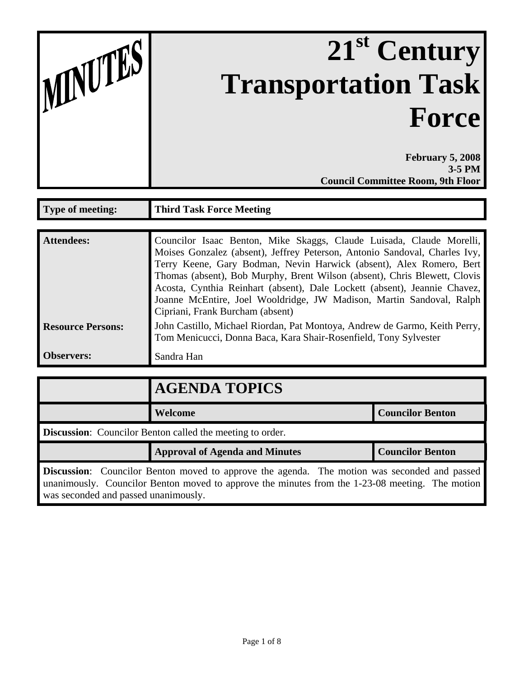| MNUTES |  |
|--------|--|
|        |  |

## **21st Century Transportation Task Force**

**February 5, 2008 3-5 PM Council Committee Room, 9th Floor**

| Type of meeting:         | <b>Third Task Force Meeting</b>                                                                                                                                                                                                                                                                                                                                                                                                                                                                 |  |
|--------------------------|-------------------------------------------------------------------------------------------------------------------------------------------------------------------------------------------------------------------------------------------------------------------------------------------------------------------------------------------------------------------------------------------------------------------------------------------------------------------------------------------------|--|
|                          |                                                                                                                                                                                                                                                                                                                                                                                                                                                                                                 |  |
| <b>Attendees:</b>        | Councilor Isaac Benton, Mike Skaggs, Claude Luisada, Claude Morelli,<br>Moises Gonzalez (absent), Jeffrey Peterson, Antonio Sandoval, Charles Ivy,<br>Terry Keene, Gary Bodman, Nevin Harwick (absent), Alex Romero, Bert<br>Thomas (absent), Bob Murphy, Brent Wilson (absent), Chris Blewett, Clovis<br>Acosta, Cynthia Reinhart (absent), Dale Lockett (absent), Jeannie Chavez,<br>Joanne McEntire, Joel Wooldridge, JW Madison, Martin Sandoval, Ralph<br>Cipriani, Frank Burcham (absent) |  |
| <b>Resource Persons:</b> | John Castillo, Michael Riordan, Pat Montoya, Andrew de Garmo, Keith Perry,<br>Tom Menicucci, Donna Baca, Kara Shair-Rosenfield, Tony Sylvester                                                                                                                                                                                                                                                                                                                                                  |  |
| <b>Observers:</b>        | Sandra Han                                                                                                                                                                                                                                                                                                                                                                                                                                                                                      |  |

|                                                                                                                                                                                                                                                | <b>AGENDA TOPICS</b>                  |                         |  |  |
|------------------------------------------------------------------------------------------------------------------------------------------------------------------------------------------------------------------------------------------------|---------------------------------------|-------------------------|--|--|
|                                                                                                                                                                                                                                                | Welcome                               | <b>Councilor Benton</b> |  |  |
| <b>Discussion:</b> Councilor Benton called the meeting to order.                                                                                                                                                                               |                                       |                         |  |  |
|                                                                                                                                                                                                                                                | <b>Approval of Agenda and Minutes</b> | <b>Councilor Benton</b> |  |  |
| <b>Discussion:</b> Councilor Benton moved to approve the agenda. The motion was seconded and passed<br>unanimously. Councilor Benton moved to approve the minutes from the 1-23-08 meeting. The motion<br>was seconded and passed unanimously. |                                       |                         |  |  |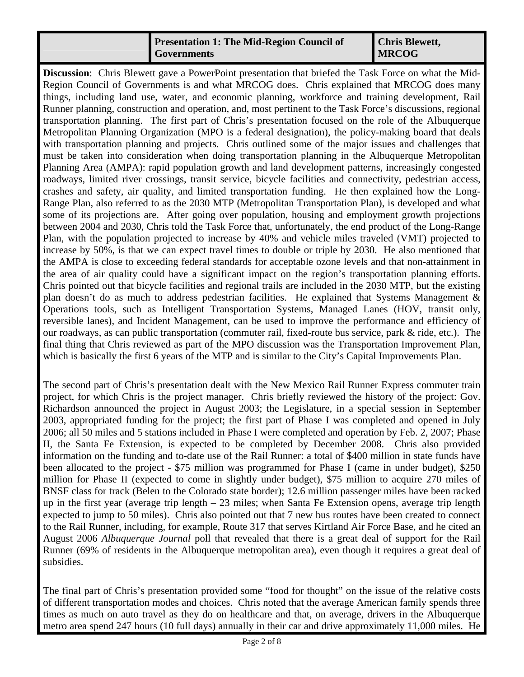## **Presentation 1: The Mid-Region Council of Governments**

**Chris Blewett, MRCOG** 

**Discussion**: Chris Blewett gave a PowerPoint presentation that briefed the Task Force on what the Mid-Region Council of Governments is and what MRCOG does. Chris explained that MRCOG does many things, including land use, water, and economic planning, workforce and training development, Rail Runner planning, construction and operation, and, most pertinent to the Task Force's discussions, regional transportation planning. The first part of Chris's presentation focused on the role of the Albuquerque Metropolitan Planning Organization (MPO is a federal designation), the policy-making board that deals with transportation planning and projects. Chris outlined some of the major issues and challenges that must be taken into consideration when doing transportation planning in the Albuquerque Metropolitan Planning Area (AMPA): rapid population growth and land development patterns, increasingly congested roadways, limited river crossings, transit service, bicycle facilities and connectivity, pedestrian access, crashes and safety, air quality, and limited transportation funding. He then explained how the Long-Range Plan, also referred to as the 2030 MTP (Metropolitan Transportation Plan), is developed and what some of its projections are. After going over population, housing and employment growth projections between 2004 and 2030, Chris told the Task Force that, unfortunately, the end product of the Long-Range Plan, with the population projected to increase by 40% and vehicle miles traveled (VMT) projected to increase by 50%, is that we can expect travel times to double or triple by 2030. He also mentioned that the AMPA is close to exceeding federal standards for acceptable ozone levels and that non-attainment in the area of air quality could have a significant impact on the region's transportation planning efforts. Chris pointed out that bicycle facilities and regional trails are included in the 2030 MTP, but the existing plan doesn't do as much to address pedestrian facilities. He explained that Systems Management & Operations tools, such as Intelligent Transportation Systems, Managed Lanes (HOV, transit only, reversible lanes), and Incident Management, can be used to improve the performance and efficiency of our roadways, as can public transportation (commuter rail, fixed-route bus service, park & ride, etc.). The final thing that Chris reviewed as part of the MPO discussion was the Transportation Improvement Plan, which is basically the first 6 years of the MTP and is similar to the City's Capital Improvements Plan.

The second part of Chris's presentation dealt with the New Mexico Rail Runner Express commuter train project, for which Chris is the project manager. Chris briefly reviewed the history of the project: Gov. Richardson announced the project in August 2003; the Legislature, in a special session in September 2003, appropriated funding for the project; the first part of Phase I was completed and opened in July 2006; all 50 miles and 5 stations included in Phase I were completed and operation by Feb. 2, 2007; Phase II, the Santa Fe Extension, is expected to be completed by December 2008. Chris also provided information on the funding and to-date use of the Rail Runner: a total of \$400 million in state funds have been allocated to the project - \$75 million was programmed for Phase I (came in under budget), \$250 million for Phase II (expected to come in slightly under budget), \$75 million to acquire 270 miles of BNSF class for track (Belen to the Colorado state border); 12.6 million passenger miles have been racked up in the first year (average trip length – 23 miles; when Santa Fe Extension opens, average trip length expected to jump to 50 miles). Chris also pointed out that 7 new bus routes have been created to connect to the Rail Runner, including, for example, Route 317 that serves Kirtland Air Force Base, and he cited an August 2006 *Albuquerque Journal* poll that revealed that there is a great deal of support for the Rail Runner (69% of residents in the Albuquerque metropolitan area), even though it requires a great deal of subsidies.

The final part of Chris's presentation provided some "food for thought" on the issue of the relative costs of different transportation modes and choices. Chris noted that the average American family spends three times as much on auto travel as they do on healthcare and that, on average, drivers in the Albuquerque metro area spend 247 hours (10 full days) annually in their car and drive approximately 11,000 miles. He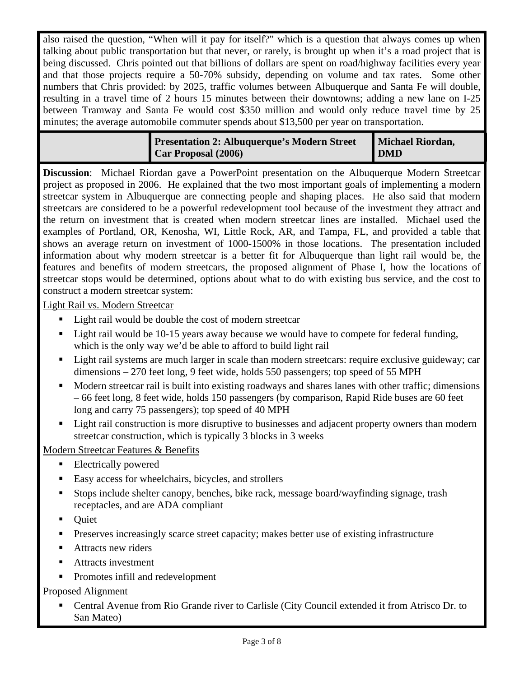also raised the question, "When will it pay for itself?" which is a question that always comes up when talking about public transportation but that never, or rarely, is brought up when it's a road project that is being discussed. Chris pointed out that billions of dollars are spent on road/highway facilities every year and that those projects require a 50-70% subsidy, depending on volume and tax rates. Some other numbers that Chris provided: by 2025, traffic volumes between Albuquerque and Santa Fe will double, resulting in a travel time of 2 hours 15 minutes between their downtowns; adding a new lane on I-25 between Tramway and Santa Fe would cost \$350 million and would only reduce travel time by 25 minutes; the average automobile commuter spends about \$13,500 per year on transportation.

| <b>Presentation 2: Albuquerque's Modern Street</b> | <b>Michael Riordan,</b> |
|----------------------------------------------------|-------------------------|
| Car Proposal (2006)                                | <b>DMD</b>              |

**Discussion**: Michael Riordan gave a PowerPoint presentation on the Albuquerque Modern Streetcar project as proposed in 2006. He explained that the two most important goals of implementing a modern streetcar system in Albuquerque are connecting people and shaping places. He also said that modern streetcars are considered to be a powerful redevelopment tool because of the investment they attract and the return on investment that is created when modern streetcar lines are installed. Michael used the examples of Portland, OR, Kenosha, WI, Little Rock, AR, and Tampa, FL, and provided a table that shows an average return on investment of 1000-1500% in those locations. The presentation included information about why modern streetcar is a better fit for Albuquerque than light rail would be, the features and benefits of modern streetcars, the proposed alignment of Phase I, how the locations of streetcar stops would be determined, options about what to do with existing bus service, and the cost to construct a modern streetcar system:

Light Rail vs. Modern Streetcar

- Light rail would be double the cost of modern streetcar
- Light rail would be 10-15 years away because we would have to compete for federal funding, which is the only way we'd be able to afford to build light rail
- Light rail systems are much larger in scale than modern streetcars: require exclusive guideway; car dimensions – 270 feet long, 9 feet wide, holds 550 passengers; top speed of 55 MPH
- Modern streetcar rail is built into existing roadways and shares lanes with other traffic; dimensions – 66 feet long, 8 feet wide, holds 150 passengers (by comparison, Rapid Ride buses are 60 feet long and carry 75 passengers); top speed of 40 MPH
- **Light rail construction is more disruptive to businesses and adjacent property owners than modern** streetcar construction, which is typically 3 blocks in 3 weeks

Modern Streetcar Features & Benefits

- Electrically powered
- Easy access for wheelchairs, bicycles, and strollers
- Stops include shelter canopy, benches, bike rack, message board/wayfinding signage, trash receptacles, and are ADA compliant
- **Ouiet**
- Preserves increasingly scarce street capacity; makes better use of existing infrastructure
- Attracts new riders
- **Attracts investment**
- Promotes infill and redevelopment

Proposed Alignment

 Central Avenue from Rio Grande river to Carlisle (City Council extended it from Atrisco Dr. to San Mateo)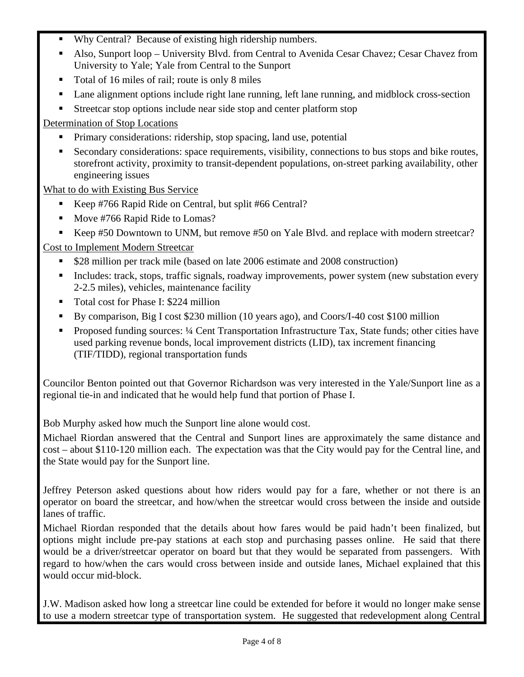- Why Central? Because of existing high ridership numbers.
- Also, Sunport loop University Blvd. from Central to Avenida Cesar Chavez; Cesar Chavez from University to Yale; Yale from Central to the Sunport
- Total of 16 miles of rail; route is only 8 miles
- Lane alignment options include right lane running, left lane running, and midblock cross-section
- Streetcar stop options include near side stop and center platform stop

Determination of Stop Locations

- Primary considerations: ridership, stop spacing, land use, potential
- Secondary considerations: space requirements, visibility, connections to bus stops and bike routes, storefront activity, proximity to transit-dependent populations, on-street parking availability, other engineering issues

What to do with Existing Bus Service

- Keep #766 Rapid Ride on Central, but split #66 Central?
- Move #766 Rapid Ride to Lomas?
- Keep #50 Downtown to UNM, but remove #50 on Yale Blvd. and replace with modern streetcar?

## Cost to Implement Modern Streetcar

- \$28 million per track mile (based on late 2006 estimate and 2008 construction)
- **Includes: track, stops, traffic signals, roadway improvements, power system (new substation every** 2-2.5 miles), vehicles, maintenance facility
- Total cost for Phase I: \$224 million
- By comparison, Big I cost \$230 million (10 years ago), and Coors/I-40 cost \$100 million
- Proposed funding sources: ¼ Cent Transportation Infrastructure Tax, State funds; other cities have used parking revenue bonds, local improvement districts (LID), tax increment financing (TIF/TIDD), regional transportation funds

Councilor Benton pointed out that Governor Richardson was very interested in the Yale/Sunport line as a regional tie-in and indicated that he would help fund that portion of Phase I.

Bob Murphy asked how much the Sunport line alone would cost.

Michael Riordan answered that the Central and Sunport lines are approximately the same distance and cost – about \$110-120 million each. The expectation was that the City would pay for the Central line, and the State would pay for the Sunport line.

Jeffrey Peterson asked questions about how riders would pay for a fare, whether or not there is an operator on board the streetcar, and how/when the streetcar would cross between the inside and outside lanes of traffic.

Michael Riordan responded that the details about how fares would be paid hadn't been finalized, but options might include pre-pay stations at each stop and purchasing passes online. He said that there would be a driver/streetcar operator on board but that they would be separated from passengers. With regard to how/when the cars would cross between inside and outside lanes, Michael explained that this would occur mid-block.

J.W. Madison asked how long a streetcar line could be extended for before it would no longer make sense to use a modern streetcar type of transportation system. He suggested that redevelopment along Central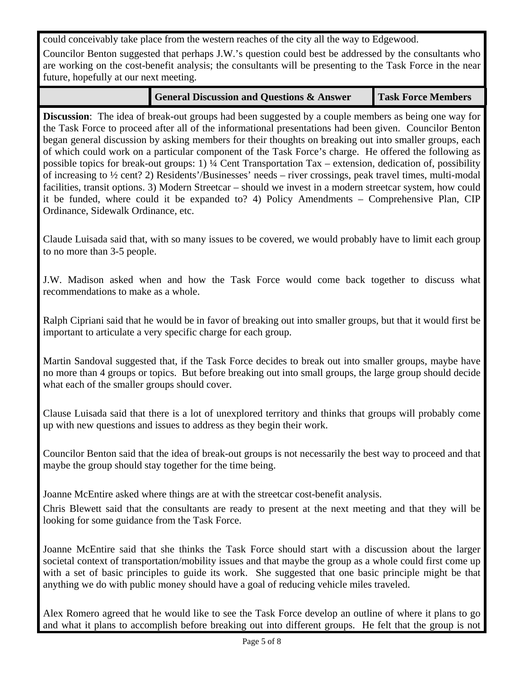could conceivably take place from the western reaches of the city all the way to Edgewood.

Councilor Benton suggested that perhaps J.W.'s question could best be addressed by the consultants who are working on the cost-benefit analysis; the consultants will be presenting to the Task Force in the near future, hopefully at our next meeting.

| <b>General Discussion and Questions &amp; Answer</b> | <b>Task Force Members</b> |
|------------------------------------------------------|---------------------------|
|------------------------------------------------------|---------------------------|

**Discussion**: The idea of break-out groups had been suggested by a couple members as being one way for the Task Force to proceed after all of the informational presentations had been given. Councilor Benton began general discussion by asking members for their thoughts on breaking out into smaller groups, each of which could work on a particular component of the Task Force's charge. He offered the following as possible topics for break-out groups: 1) ¼ Cent Transportation Tax – extension, dedication of, possibility of increasing to ½ cent? 2) Residents'/Businesses' needs – river crossings, peak travel times, multi-modal facilities, transit options. 3) Modern Streetcar – should we invest in a modern streetcar system, how could it be funded, where could it be expanded to? 4) Policy Amendments – Comprehensive Plan, CIP Ordinance, Sidewalk Ordinance, etc.

Claude Luisada said that, with so many issues to be covered, we would probably have to limit each group to no more than 3-5 people.

J.W. Madison asked when and how the Task Force would come back together to discuss what recommendations to make as a whole.

Ralph Cipriani said that he would be in favor of breaking out into smaller groups, but that it would first be important to articulate a very specific charge for each group.

Martin Sandoval suggested that, if the Task Force decides to break out into smaller groups, maybe have no more than 4 groups or topics. But before breaking out into small groups, the large group should decide what each of the smaller groups should cover.

Clause Luisada said that there is a lot of unexplored territory and thinks that groups will probably come up with new questions and issues to address as they begin their work.

Councilor Benton said that the idea of break-out groups is not necessarily the best way to proceed and that maybe the group should stay together for the time being.

Joanne McEntire asked where things are at with the streetcar cost-benefit analysis.

Chris Blewett said that the consultants are ready to present at the next meeting and that they will be looking for some guidance from the Task Force.

Joanne McEntire said that she thinks the Task Force should start with a discussion about the larger societal context of transportation/mobility issues and that maybe the group as a whole could first come up with a set of basic principles to guide its work. She suggested that one basic principle might be that anything we do with public money should have a goal of reducing vehicle miles traveled.

Alex Romero agreed that he would like to see the Task Force develop an outline of where it plans to go and what it plans to accomplish before breaking out into different groups. He felt that the group is not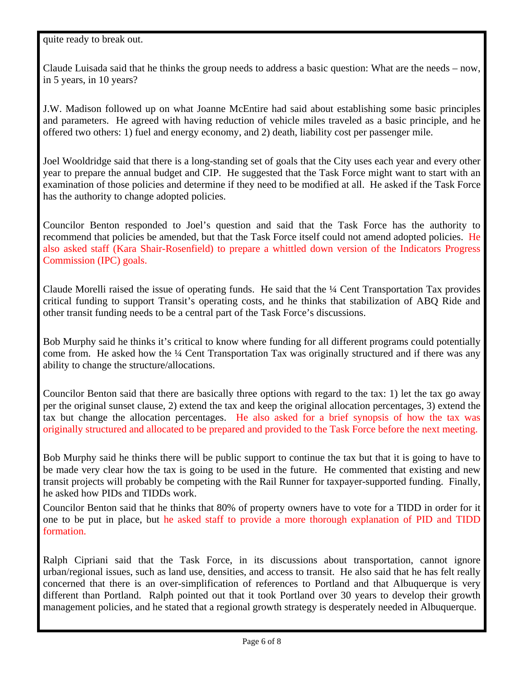## quite ready to break out.

Claude Luisada said that he thinks the group needs to address a basic question: What are the needs – now, in 5 years, in 10 years?

J.W. Madison followed up on what Joanne McEntire had said about establishing some basic principles and parameters. He agreed with having reduction of vehicle miles traveled as a basic principle, and he offered two others: 1) fuel and energy economy, and 2) death, liability cost per passenger mile.

Joel Wooldridge said that there is a long-standing set of goals that the City uses each year and every other year to prepare the annual budget and CIP. He suggested that the Task Force might want to start with an examination of those policies and determine if they need to be modified at all. He asked if the Task Force has the authority to change adopted policies.

Councilor Benton responded to Joel's question and said that the Task Force has the authority to recommend that policies be amended, but that the Task Force itself could not amend adopted policies. He also asked staff (Kara Shair-Rosenfield) to prepare a whittled down version of the Indicators Progress Commission (IPC) goals.

Claude Morelli raised the issue of operating funds. He said that the ¼ Cent Transportation Tax provides critical funding to support Transit's operating costs, and he thinks that stabilization of ABQ Ride and other transit funding needs to be a central part of the Task Force's discussions.

Bob Murphy said he thinks it's critical to know where funding for all different programs could potentially come from. He asked how the  $\frac{1}{4}$  Cent Transportation Tax was originally structured and if there was any ability to change the structure/allocations.

Councilor Benton said that there are basically three options with regard to the tax: 1) let the tax go away per the original sunset clause, 2) extend the tax and keep the original allocation percentages, 3) extend the tax but change the allocation percentages. He also asked for a brief synopsis of how the tax was originally structured and allocated to be prepared and provided to the Task Force before the next meeting.

Bob Murphy said he thinks there will be public support to continue the tax but that it is going to have to be made very clear how the tax is going to be used in the future. He commented that existing and new transit projects will probably be competing with the Rail Runner for taxpayer-supported funding. Finally, he asked how PIDs and TIDDs work.

Councilor Benton said that he thinks that 80% of property owners have to vote for a TIDD in order for it one to be put in place, but he asked staff to provide a more thorough explanation of PID and TIDD formation.

Ralph Cipriani said that the Task Force, in its discussions about transportation, cannot ignore urban/regional issues, such as land use, densities, and access to transit. He also said that he has felt really concerned that there is an over-simplification of references to Portland and that Albuquerque is very different than Portland. Ralph pointed out that it took Portland over 30 years to develop their growth management policies, and he stated that a regional growth strategy is desperately needed in Albuquerque.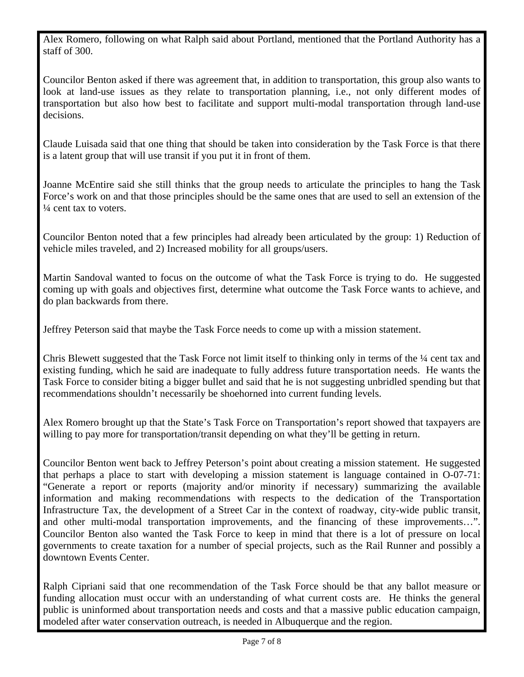Alex Romero, following on what Ralph said about Portland, mentioned that the Portland Authority has a staff of 300.

Councilor Benton asked if there was agreement that, in addition to transportation, this group also wants to look at land-use issues as they relate to transportation planning, i.e., not only different modes of transportation but also how best to facilitate and support multi-modal transportation through land-use decisions.

Claude Luisada said that one thing that should be taken into consideration by the Task Force is that there is a latent group that will use transit if you put it in front of them.

Joanne McEntire said she still thinks that the group needs to articulate the principles to hang the Task Force's work on and that those principles should be the same ones that are used to sell an extension of the  $\frac{1}{4}$  cent tax to voters.

Councilor Benton noted that a few principles had already been articulated by the group: 1) Reduction of vehicle miles traveled, and 2) Increased mobility for all groups/users.

Martin Sandoval wanted to focus on the outcome of what the Task Force is trying to do. He suggested coming up with goals and objectives first, determine what outcome the Task Force wants to achieve, and do plan backwards from there.

Jeffrey Peterson said that maybe the Task Force needs to come up with a mission statement.

Chris Blewett suggested that the Task Force not limit itself to thinking only in terms of the ¼ cent tax and existing funding, which he said are inadequate to fully address future transportation needs. He wants the Task Force to consider biting a bigger bullet and said that he is not suggesting unbridled spending but that recommendations shouldn't necessarily be shoehorned into current funding levels.

Alex Romero brought up that the State's Task Force on Transportation's report showed that taxpayers are willing to pay more for transportation/transit depending on what they'll be getting in return.

Councilor Benton went back to Jeffrey Peterson's point about creating a mission statement. He suggested that perhaps a place to start with developing a mission statement is language contained in O-07-71: "Generate a report or reports (majority and/or minority if necessary) summarizing the available information and making recommendations with respects to the dedication of the Transportation Infrastructure Tax, the development of a Street Car in the context of roadway, city-wide public transit, and other multi-modal transportation improvements, and the financing of these improvements…". Councilor Benton also wanted the Task Force to keep in mind that there is a lot of pressure on local governments to create taxation for a number of special projects, such as the Rail Runner and possibly a downtown Events Center.

Ralph Cipriani said that one recommendation of the Task Force should be that any ballot measure or funding allocation must occur with an understanding of what current costs are. He thinks the general public is uninformed about transportation needs and costs and that a massive public education campaign, modeled after water conservation outreach, is needed in Albuquerque and the region.